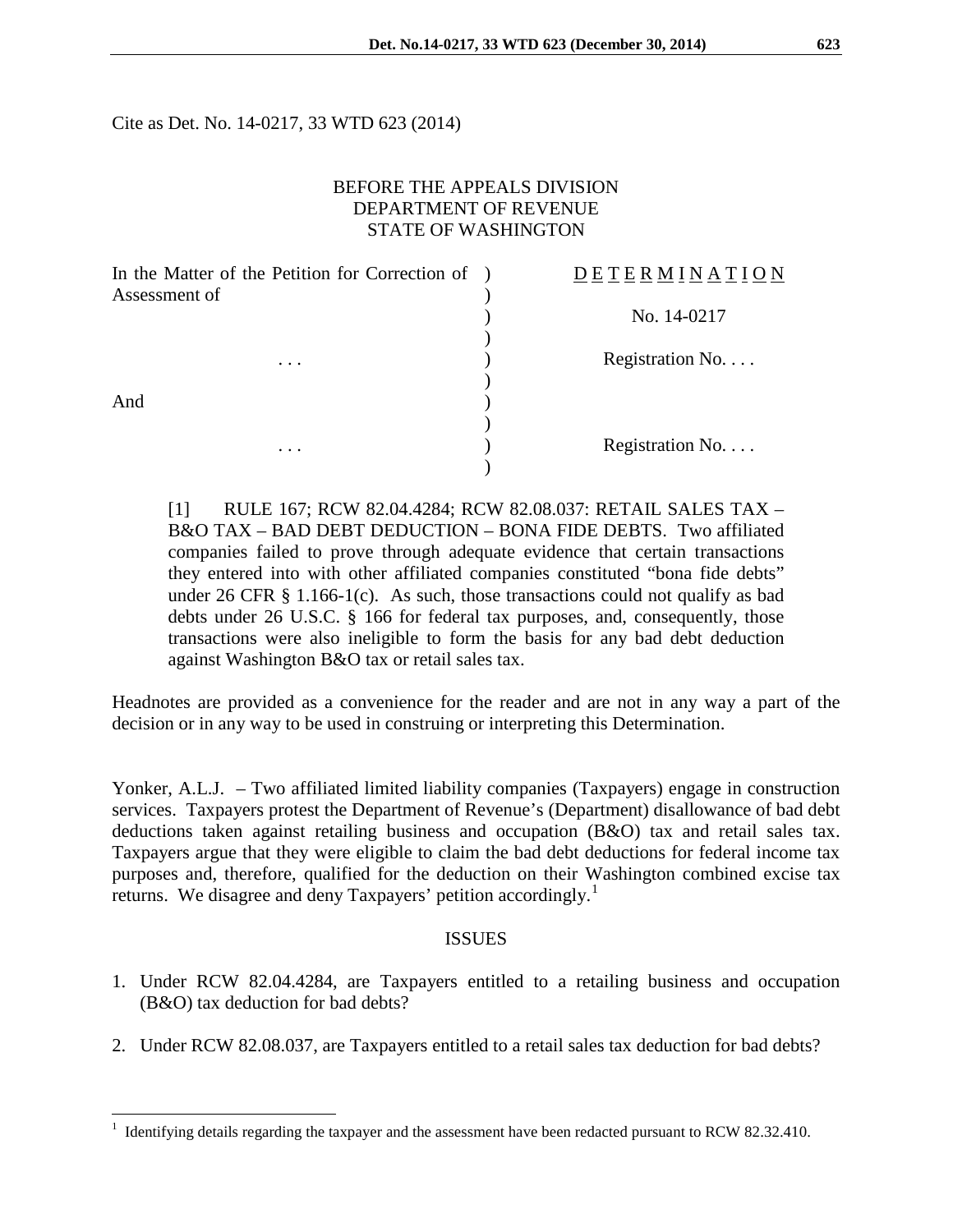Cite as Det. No. 14-0217, 33 WTD 623 (2014)

### BEFORE THE APPEALS DIVISION DEPARTMENT OF REVENUE STATE OF WASHINGTON

| In the Matter of the Petition for Correction of ) | DETERMINATION    |
|---------------------------------------------------|------------------|
| Assessment of<br>$\cdots$                         |                  |
|                                                   | No. 14-0217      |
|                                                   |                  |
|                                                   | Registration No. |
|                                                   |                  |
| And<br>.                                          |                  |
|                                                   |                  |
|                                                   | Registration No. |
|                                                   |                  |

[1] RULE 167; RCW 82.04.4284; RCW 82.08.037: RETAIL SALES TAX – B&O TAX – BAD DEBT DEDUCTION – BONA FIDE DEBTS. Two affiliated companies failed to prove through adequate evidence that certain transactions they entered into with other affiliated companies constituted "bona fide debts" under 26 CFR  $\S$  1.166-1(c). As such, those transactions could not qualify as bad debts under 26 U.S.C. § 166 for federal tax purposes, and, consequently, those transactions were also ineligible to form the basis for any bad debt deduction against Washington B&O tax or retail sales tax.

Headnotes are provided as a convenience for the reader and are not in any way a part of the decision or in any way to be used in construing or interpreting this Determination.

Yonker, A.L.J. – Two affiliated limited liability companies (Taxpayers) engage in construction services. Taxpayers protest the Department of Revenue's (Department) disallowance of bad debt deductions taken against retailing business and occupation (B&O) tax and retail sales tax. Taxpayers argue that they were eligible to claim the bad debt deductions for federal income tax purposes and, therefore, qualified for the deduction on their Washington combined excise tax returns. We disagree and deny Taxpayers' petition accordingly.<sup>[1](#page-0-0)</sup>

#### ISSUES

- 1. Under RCW 82.04.4284, are Taxpayers entitled to a retailing business and occupation (B&O) tax deduction for bad debts?
- 2. Under RCW 82.08.037, are Taxpayers entitled to a retail sales tax deduction for bad debts?

 $\overline{a}$ 

<span id="page-0-0"></span><sup>&</sup>lt;sup>1</sup> Identifying details regarding the taxpayer and the assessment have been redacted pursuant to RCW 82.32.410.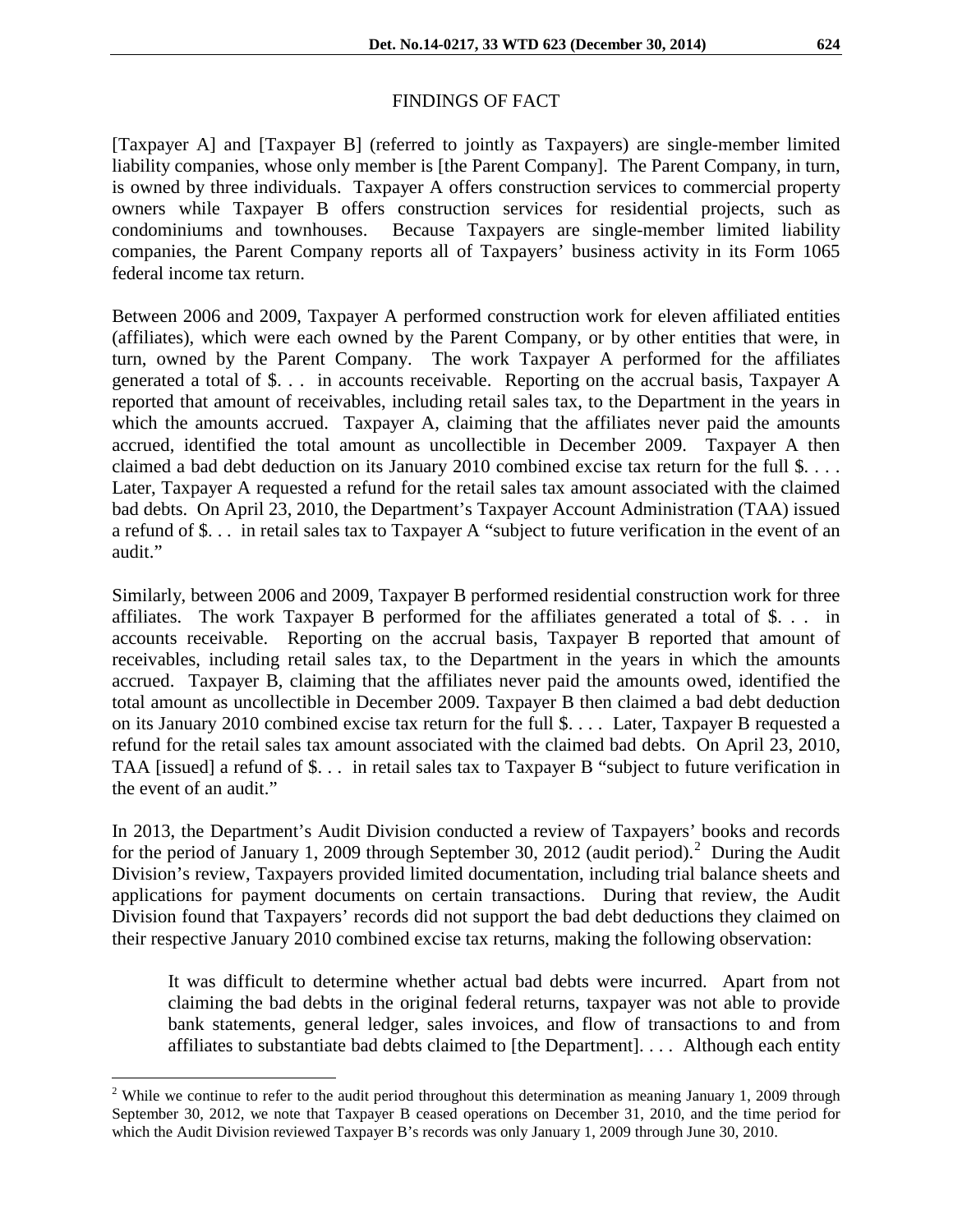# FINDINGS OF FACT

[Taxpayer A] and [Taxpayer B] (referred to jointly as Taxpayers) are single-member limited liability companies, whose only member is [the Parent Company]. The Parent Company, in turn, is owned by three individuals. Taxpayer A offers construction services to commercial property owners while Taxpayer B offers construction services for residential projects, such as condominiums and townhouses. Because Taxpayers are single-member limited liability companies, the Parent Company reports all of Taxpayers' business activity in its Form 1065 federal income tax return.

Between 2006 and 2009, Taxpayer A performed construction work for eleven affiliated entities (affiliates), which were each owned by the Parent Company, or by other entities that were, in turn, owned by the Parent Company. The work Taxpayer A performed for the affiliates generated a total of \$. . . in accounts receivable. Reporting on the accrual basis, Taxpayer A reported that amount of receivables, including retail sales tax, to the Department in the years in which the amounts accrued. Taxpayer A, claiming that the affiliates never paid the amounts accrued, identified the total amount as uncollectible in December 2009. Taxpayer A then claimed a bad debt deduction on its January 2010 combined excise tax return for the full \$. . . . Later, Taxpayer A requested a refund for the retail sales tax amount associated with the claimed bad debts. On April 23, 2010, the Department's Taxpayer Account Administration (TAA) issued a refund of \$. . . in retail sales tax to Taxpayer A "subject to future verification in the event of an audit."

Similarly, between 2006 and 2009, Taxpayer B performed residential construction work for three affiliates. The work Taxpayer B performed for the affiliates generated a total of \$. . . in accounts receivable. Reporting on the accrual basis, Taxpayer B reported that amount of receivables, including retail sales tax, to the Department in the years in which the amounts accrued. Taxpayer B, claiming that the affiliates never paid the amounts owed, identified the total amount as uncollectible in December 2009. Taxpayer B then claimed a bad debt deduction on its January 2010 combined excise tax return for the full \$. . . . Later, Taxpayer B requested a refund for the retail sales tax amount associated with the claimed bad debts. On April 23, 2010, TAA [issued] a refund of \$. . . in retail sales tax to Taxpayer B "subject to future verification in the event of an audit."

In 2013, the Department's Audit Division conducted a review of Taxpayers' books and records for the period of January 1, [2](#page-1-0)009 through September 30, 2012 (audit period).<sup>2</sup> During the Audit Division's review, Taxpayers provided limited documentation, including trial balance sheets and applications for payment documents on certain transactions. During that review, the Audit Division found that Taxpayers' records did not support the bad debt deductions they claimed on their respective January 2010 combined excise tax returns, making the following observation:

It was difficult to determine whether actual bad debts were incurred. Apart from not claiming the bad debts in the original federal returns, taxpayer was not able to provide bank statements, general ledger, sales invoices, and flow of transactions to and from affiliates to substantiate bad debts claimed to [the Department]. . . . Although each entity

 $\overline{a}$ 

<span id="page-1-0"></span><sup>&</sup>lt;sup>2</sup> While we continue to refer to the audit period throughout this determination as meaning January 1, 2009 through September 30, 2012, we note that Taxpayer B ceased operations on December 31, 2010, and the time period for which the Audit Division reviewed Taxpayer B's records was only January 1, 2009 through June 30, 2010.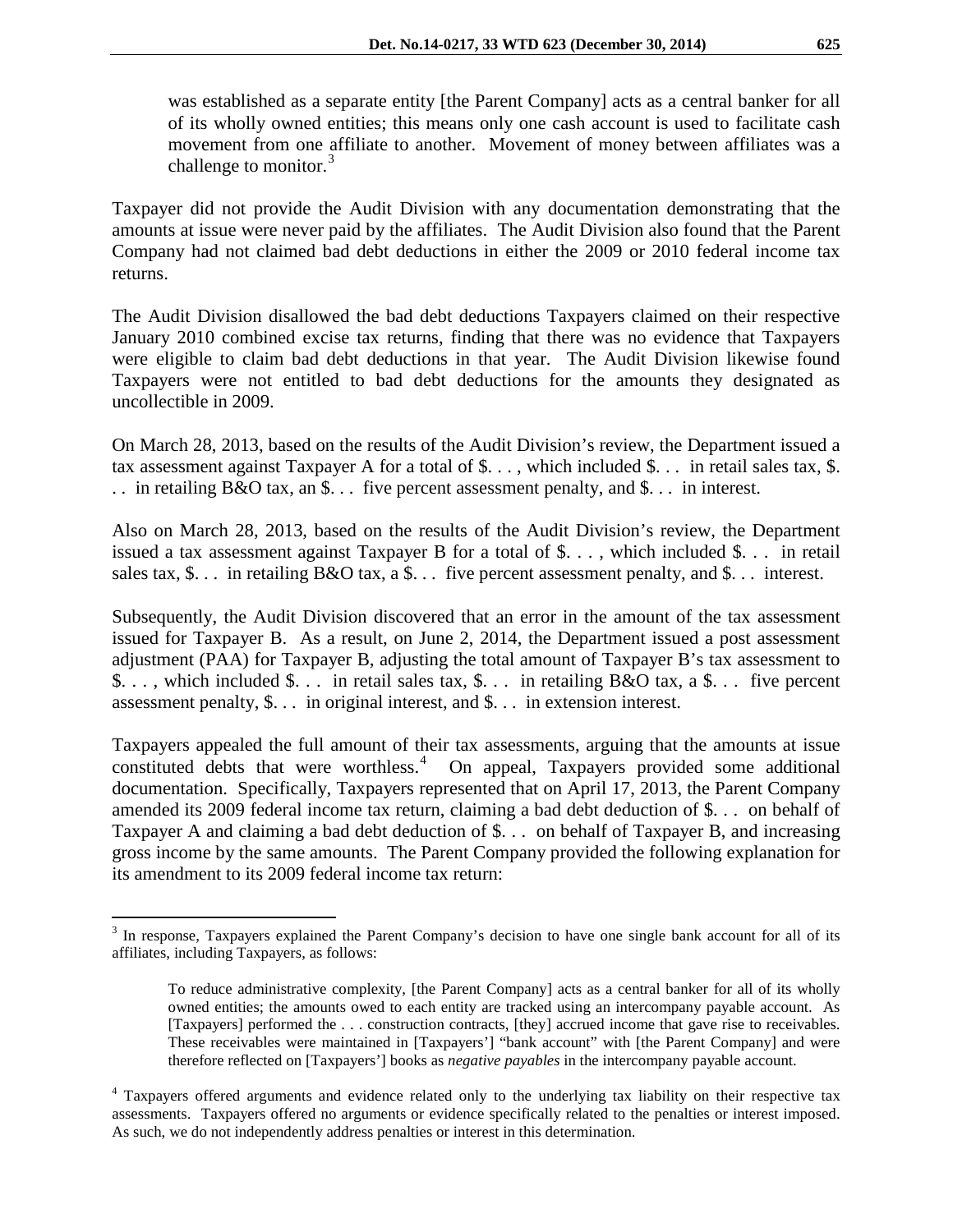was established as a separate entity [the Parent Company] acts as a central banker for all of its wholly owned entities; this means only one cash account is used to facilitate cash movement from one affiliate to another. Movement of money between affiliates was a challenge to monitor. $3$ 

Taxpayer did not provide the Audit Division with any documentation demonstrating that the amounts at issue were never paid by the affiliates. The Audit Division also found that the Parent Company had not claimed bad debt deductions in either the 2009 or 2010 federal income tax returns.

The Audit Division disallowed the bad debt deductions Taxpayers claimed on their respective January 2010 combined excise tax returns, finding that there was no evidence that Taxpayers were eligible to claim bad debt deductions in that year. The Audit Division likewise found Taxpayers were not entitled to bad debt deductions for the amounts they designated as uncollectible in 2009.

On March 28, 2013, based on the results of the Audit Division's review, the Department issued a tax assessment against Taxpayer A for a total of \$. . . , which included \$. . . in retail sales tax, \$. . . in retailing B&O tax, an \$. . . five percent assessment penalty, and \$. . . in interest.

Also on March 28, 2013, based on the results of the Audit Division's review, the Department issued a tax assessment against Taxpayer B for a total of \$. . . , which included \$. . . in retail sales tax, \$. . . in retailing B&O tax, a \$. . . five percent assessment penalty, and \$. . . interest.

Subsequently, the Audit Division discovered that an error in the amount of the tax assessment issued for Taxpayer B. As a result, on June 2, 2014, the Department issued a post assessment adjustment (PAA) for Taxpayer B, adjusting the total amount of Taxpayer B's tax assessment to \$. . . , which included \$. . . in retail sales tax, \$. . . in retailing B&O tax, a \$. . . five percent assessment penalty, \$. . . in original interest, and \$. . . in extension interest.

Taxpayers appealed the full amount of their tax assessments, arguing that the amounts at issue constituted debts that were worthless.<sup>[4](#page-2-1)</sup> On appeal, Taxpayers provided some additional documentation. Specifically, Taxpayers represented that on April 17, 2013, the Parent Company amended its 2009 federal income tax return, claiming a bad debt deduction of \$. . . on behalf of Taxpayer A and claiming a bad debt deduction of \$. . . on behalf of Taxpayer B, and increasing gross income by the same amounts. The Parent Company provided the following explanation for its amendment to its 2009 federal income tax return:

<span id="page-2-0"></span><sup>&</sup>lt;sup>3</sup> In response, Taxpayers explained the Parent Company's decision to have one single bank account for all of its affiliates, including Taxpayers, as follows:  $\overline{a}$ 

To reduce administrative complexity, [the Parent Company] acts as a central banker for all of its wholly owned entities; the amounts owed to each entity are tracked using an intercompany payable account. As [Taxpayers] performed the . . . construction contracts, [they] accrued income that gave rise to receivables. These receivables were maintained in [Taxpayers'] "bank account" with [the Parent Company] and were therefore reflected on [Taxpayers'] books as *negative payables* in the intercompany payable account.

<span id="page-2-1"></span><sup>&</sup>lt;sup>4</sup> Taxpayers offered arguments and evidence related only to the underlying tax liability on their respective tax assessments. Taxpayers offered no arguments or evidence specifically related to the penalties or interest imposed. As such, we do not independently address penalties or interest in this determination.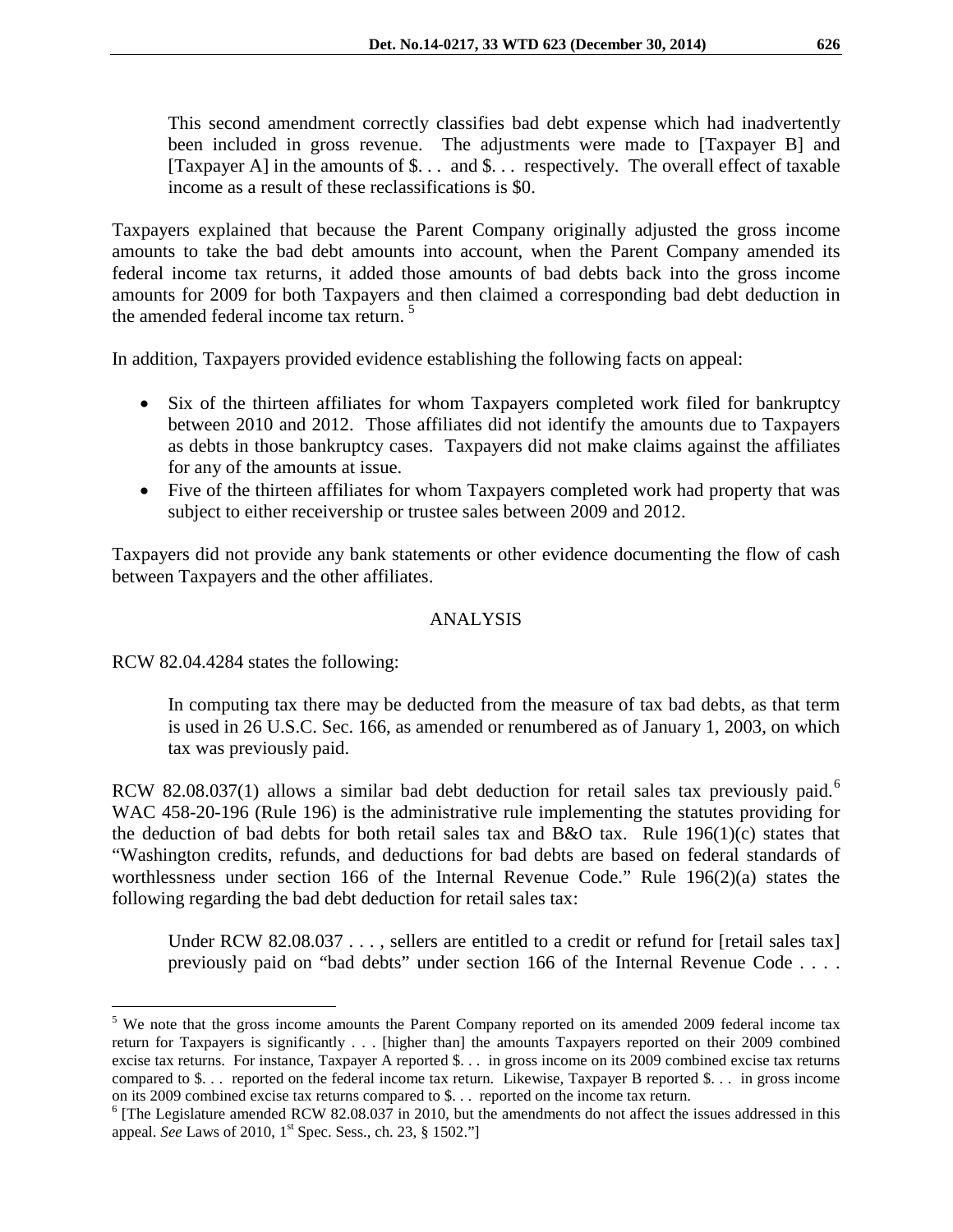This second amendment correctly classifies bad debt expense which had inadvertently been included in gross revenue. The adjustments were made to [Taxpayer B] and [Taxpayer A] in the amounts of \$. . . and \$. . . respectively. The overall effect of taxable income as a result of these reclassifications is \$0.

Taxpayers explained that because the Parent Company originally adjusted the gross income amounts to take the bad debt amounts into account, when the Parent Company amended its federal income tax returns, it added those amounts of bad debts back into the gross income amounts for 2009 for both Taxpayers and then claimed a corresponding bad debt deduction in the amended federal income tax return. [5](#page-3-0)

In addition, Taxpayers provided evidence establishing the following facts on appeal:

- Six of the thirteen affiliates for whom Taxpayers completed work filed for bankruptcy between 2010 and 2012. Those affiliates did not identify the amounts due to Taxpayers as debts in those bankruptcy cases. Taxpayers did not make claims against the affiliates for any of the amounts at issue.
- Five of the thirteen affiliates for whom Taxpayers completed work had property that was subject to either receivership or trustee sales between 2009 and 2012.

Taxpayers did not provide any bank statements or other evidence documenting the flow of cash between Taxpayers and the other affiliates.

### ANALYSIS

RCW 82.04.4284 states the following:

In computing tax there may be deducted from the measure of tax bad debts, as that term is used in 26 U.S.C. Sec. 166, as amended or renumbered as of January 1, 2003, on which tax was previously paid.

RCW 82.08.037(1) allows a similar bad debt deduction for retail sales tax previously paid.<sup>[6](#page-3-1)</sup> WAC 458-20-196 (Rule 196) is the administrative rule implementing the statutes providing for the deduction of bad debts for both retail sales tax and B&O tax. Rule  $196(1)(c)$  states that "Washington credits, refunds, and deductions for bad debts are based on federal standards of worthlessness under section 166 of the Internal Revenue Code." Rule 196(2)(a) states the following regarding the bad debt deduction for retail sales tax:

Under RCW 82.08.037 . . . , sellers are entitled to a credit or refund for [retail sales tax] previously paid on "bad debts" under section 166 of the Internal Revenue Code . . . .

<span id="page-3-0"></span><sup>&</sup>lt;sup>5</sup> We note that the gross income amounts the Parent Company reported on its amended 2009 federal income tax return for Taxpayers is significantly . . . [higher than] the amounts Taxpayers reported on their 2009 combined excise tax returns. For instance, Taxpayer A reported \$. . . in gross income on its 2009 combined excise tax returns compared to \$. . . reported on the federal income tax return. Likewise, Taxpayer B reported \$. . . in gross income on its 2009 combined excise tax returns compared to \$. . . reported on the income tax return.  $\overline{a}$ 

<span id="page-3-1"></span><sup>&</sup>lt;sup>6</sup> [The Legislature amended RCW 82.08.037 in 2010, but the amendments do not affect the issues addressed in this appeal. *See* Laws of 2010, 1<sup>st</sup> Spec. Sess., ch. 23, § 1502."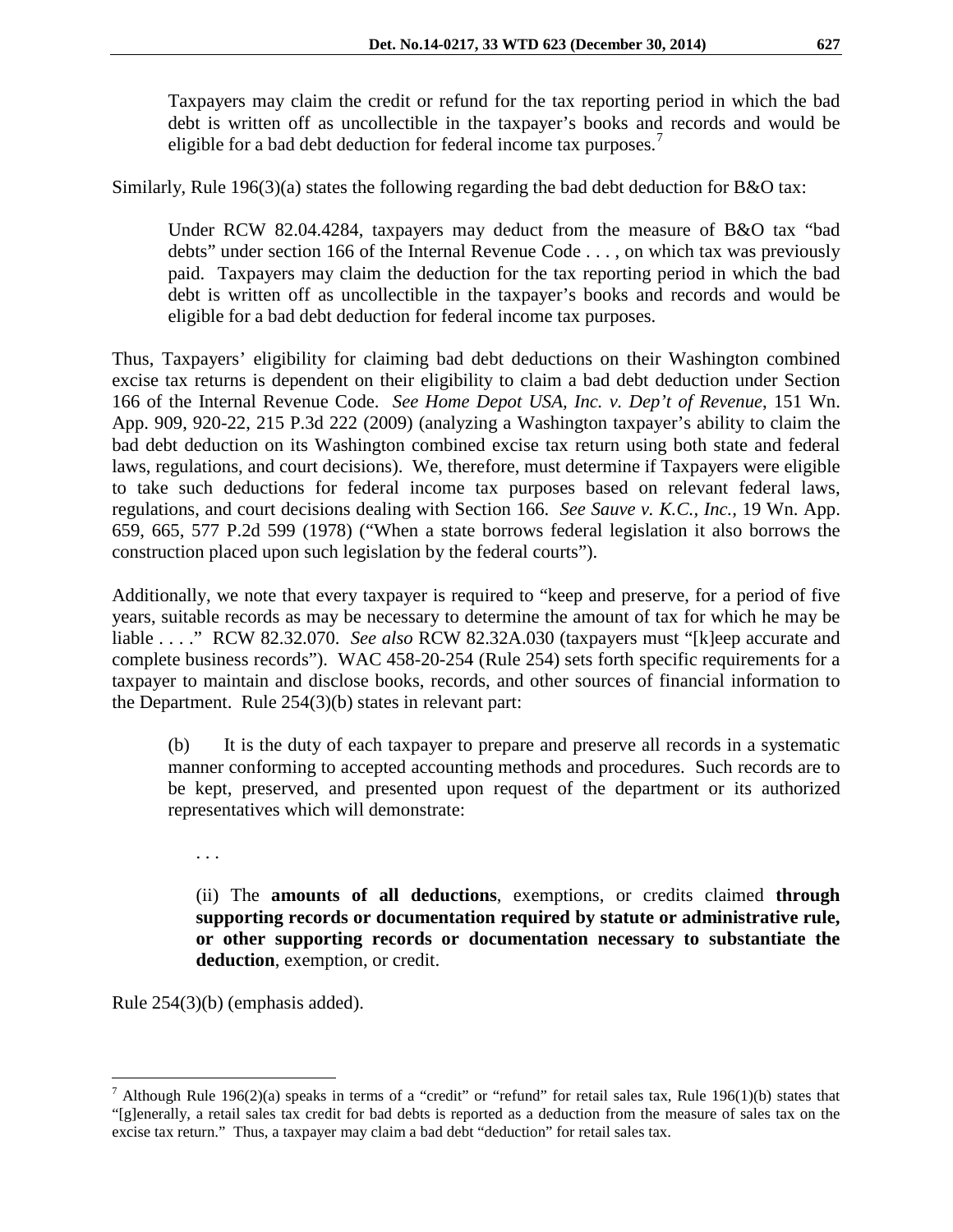Taxpayers may claim the credit or refund for the tax reporting period in which the bad debt is written off as uncollectible in the taxpayer's books and records and would be eligible for a bad debt deduction for federal income tax purposes.

Similarly, Rule 196(3)(a) states the following regarding the bad debt deduction for B&O tax:

Under RCW 82.04.4284, taxpayers may deduct from the measure of B&O tax "bad debts" under section 166 of the Internal Revenue Code . . . , on which tax was previously paid. Taxpayers may claim the deduction for the tax reporting period in which the bad debt is written off as uncollectible in the taxpayer's books and records and would be eligible for a bad debt deduction for federal income tax purposes.

Thus, Taxpayers' eligibility for claiming bad debt deductions on their Washington combined excise tax returns is dependent on their eligibility to claim a bad debt deduction under Section 166 of the Internal Revenue Code. *See Home Depot USA, Inc. v. Dep't of Revenue*, 151 Wn. App. 909, 920-22, 215 P.3d 222 (2009) (analyzing a Washington taxpayer's ability to claim the bad debt deduction on its Washington combined excise tax return using both state and federal laws, regulations, and court decisions). We, therefore, must determine if Taxpayers were eligible to take such deductions for federal income tax purposes based on relevant federal laws, regulations, and court decisions dealing with Section 166. *See Sauve v. K.C., Inc.,* 19 Wn. App. 659, 665, 577 P.2d 599 (1978) ("When a state borrows federal legislation it also borrows the construction placed upon such legislation by the federal courts").

Additionally, we note that every taxpayer is required to "keep and preserve, for a period of five years, suitable records as may be necessary to determine the amount of tax for which he may be liable . . . ." RCW 82.32.070. *See also* RCW 82.32A.030 (taxpayers must "[k]eep accurate and complete business records"). WAC 458-20-254 (Rule 254) sets forth specific requirements for a taxpayer to maintain and disclose books, records, and other sources of financial information to the Department. Rule 254(3)(b) states in relevant part:

(b) It is the duty of each taxpayer to prepare and preserve all records in a systematic manner conforming to accepted accounting methods and procedures. Such records are to be kept, preserved, and presented upon request of the department or its authorized representatives which will demonstrate:

. . .

(ii) The **amounts of all deductions**, exemptions, or credits claimed **through supporting records or documentation required by statute or administrative rule, or other supporting records or documentation necessary to substantiate the deduction**, exemption, or credit.

Rule 254(3)(b) (emphasis added).

<span id="page-4-0"></span><sup>&</sup>lt;sup>7</sup> Although Rule 196(2)(a) speaks in terms of a "credit" or "refund" for retail sales tax, Rule 196(1)(b) states that "[g]enerally, a retail sales tax credit for bad debts is reported as a deduction from the measure of sales tax on the excise tax return." Thus, a taxpayer may claim a bad debt "deduction" for retail sales tax.  $\overline{a}$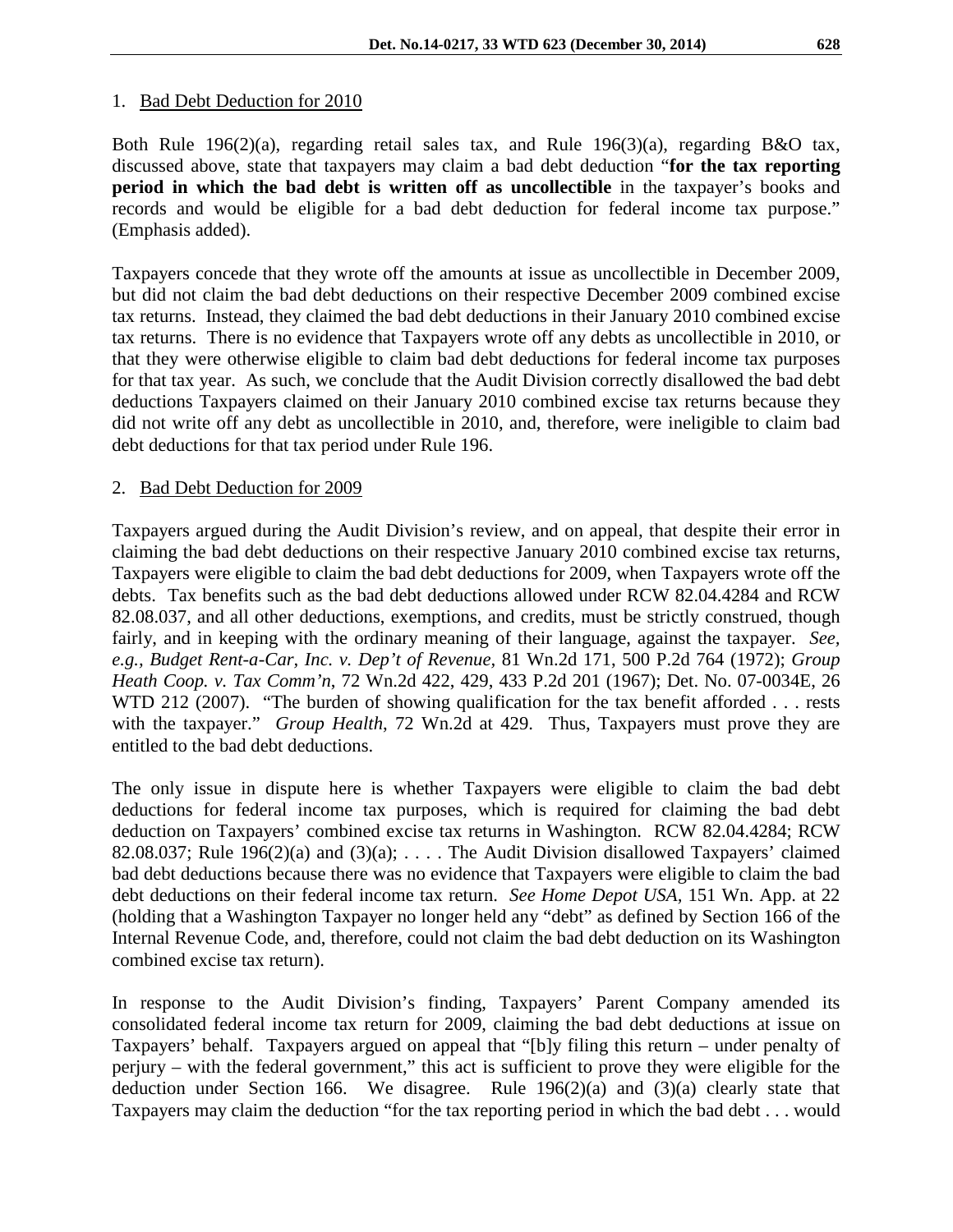#### 1. Bad Debt Deduction for 2010

Both Rule 196(2)(a), regarding retail sales tax, and Rule 196(3)(a), regarding B&O tax, discussed above, state that taxpayers may claim a bad debt deduction "**for the tax reporting period in which the bad debt is written off as uncollectible** in the taxpayer's books and records and would be eligible for a bad debt deduction for federal income tax purpose." (Emphasis added).

Taxpayers concede that they wrote off the amounts at issue as uncollectible in December 2009, but did not claim the bad debt deductions on their respective December 2009 combined excise tax returns. Instead, they claimed the bad debt deductions in their January 2010 combined excise tax returns. There is no evidence that Taxpayers wrote off any debts as uncollectible in 2010, or that they were otherwise eligible to claim bad debt deductions for federal income tax purposes for that tax year. As such, we conclude that the Audit Division correctly disallowed the bad debt deductions Taxpayers claimed on their January 2010 combined excise tax returns because they did not write off any debt as uncollectible in 2010, and, therefore, were ineligible to claim bad debt deductions for that tax period under Rule 196.

#### 2. Bad Debt Deduction for 2009

Taxpayers argued during the Audit Division's review, and on appeal, that despite their error in claiming the bad debt deductions on their respective January 2010 combined excise tax returns, Taxpayers were eligible to claim the bad debt deductions for 2009, when Taxpayers wrote off the debts. Tax benefits such as the bad debt deductions allowed under RCW 82.04.4284 and RCW 82.08.037, and all other deductions, exemptions, and credits, must be strictly construed, though fairly, and in keeping with the ordinary meaning of their language, against the taxpayer. *See, e.g., Budget Rent-a-Car, Inc. v. Dep't of Revenue,* 81 Wn.2d 171, 500 P.2d 764 (1972); *Group Heath Coop. v. Tax Comm'n*, 72 Wn.2d 422, 429, 433 P.2d 201 (1967); Det. No. 07-0034E, 26 WTD 212 (2007). "The burden of showing qualification for the tax benefit afforded . . . rests with the taxpayer." *Group Health*, 72 Wn.2d at 429. Thus, Taxpayers must prove they are entitled to the bad debt deductions.

The only issue in dispute here is whether Taxpayers were eligible to claim the bad debt deductions for federal income tax purposes, which is required for claiming the bad debt deduction on Taxpayers' combined excise tax returns in Washington. RCW 82.04.4284; RCW 82.08.037; Rule 196(2)(a) and (3)(a); .... The Audit Division disallowed Taxpayers' claimed bad debt deductions because there was no evidence that Taxpayers were eligible to claim the bad debt deductions on their federal income tax return. *See Home Depot USA,* 151 Wn. App. at 22 (holding that a Washington Taxpayer no longer held any "debt" as defined by Section 166 of the Internal Revenue Code, and, therefore, could not claim the bad debt deduction on its Washington combined excise tax return).

In response to the Audit Division's finding, Taxpayers' Parent Company amended its consolidated federal income tax return for 2009, claiming the bad debt deductions at issue on Taxpayers' behalf. Taxpayers argued on appeal that "[b]y filing this return – under penalty of perjury – with the federal government," this act is sufficient to prove they were eligible for the deduction under Section 166. We disagree. Rule 196(2)(a) and (3)(a) clearly state that Taxpayers may claim the deduction "for the tax reporting period in which the bad debt . . . would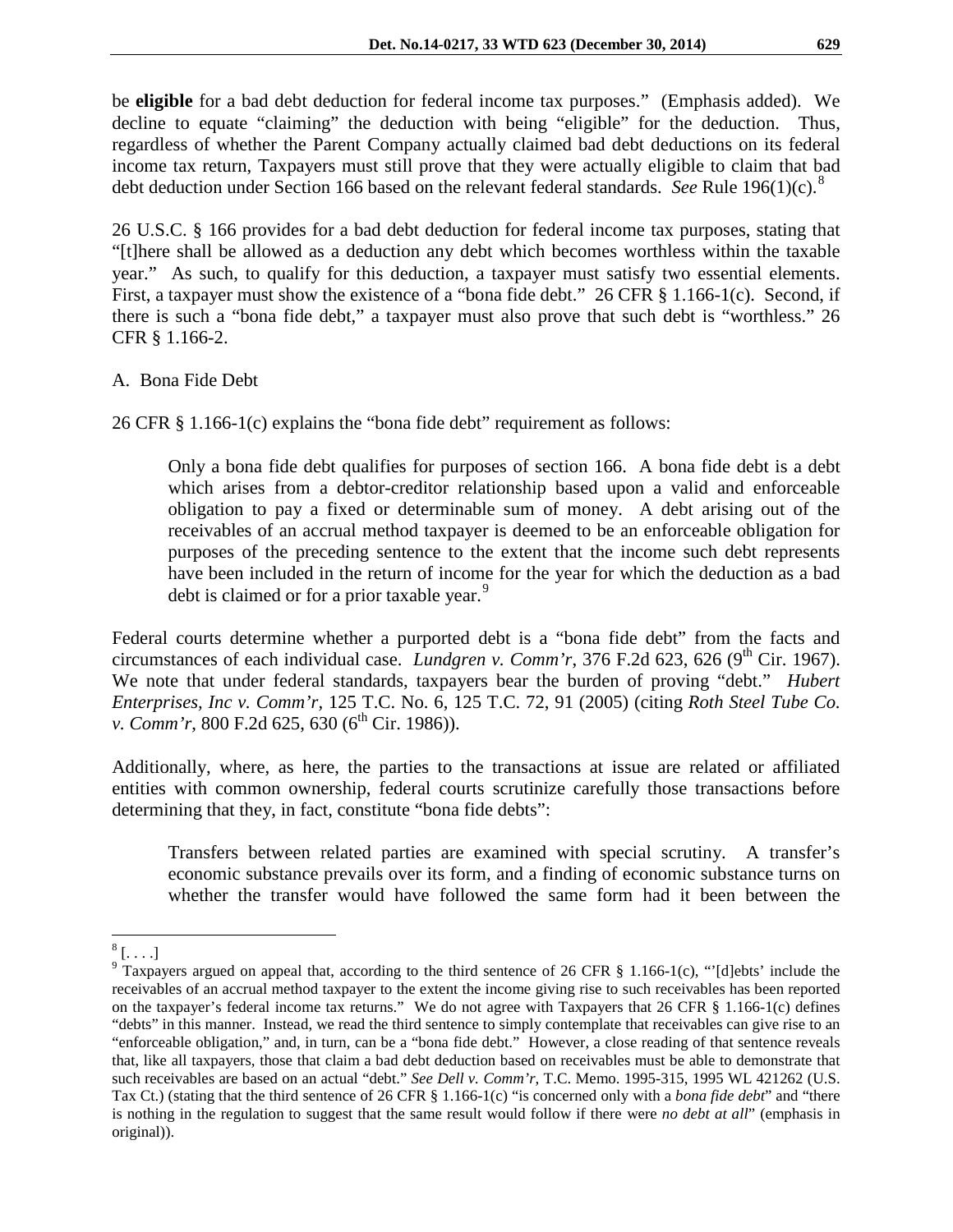be **eligible** for a bad debt deduction for federal income tax purposes." (Emphasis added). We decline to equate "claiming" the deduction with being "eligible" for the deduction. Thus, regardless of whether the Parent Company actually claimed bad debt deductions on its federal income tax return, Taxpayers must still prove that they were actually eligible to claim that bad debt deduction under Section 166 based on the relevant federal standards. *See* Rule 196(1)(c).[8](#page-6-0)

26 U.S.C. § 166 provides for a bad debt deduction for federal income tax purposes, stating that "[t]here shall be allowed as a deduction any debt which becomes worthless within the taxable year." As such, to qualify for this deduction, a taxpayer must satisfy two essential elements. First, a taxpayer must show the existence of a "bona fide debt." 26 CFR § 1.166-1(c). Second, if there is such a "bona fide debt," a taxpayer must also prove that such debt is "worthless." 26 CFR § 1.166-2.

#### A. Bona Fide Debt

26 CFR § 1.166-1(c) explains the "bona fide debt" requirement as follows:

Only a bona fide debt qualifies for purposes of section 166. A bona fide debt is a debt which arises from a debtor-creditor relationship based upon a valid and enforceable obligation to pay a fixed or determinable sum of money. A debt arising out of the receivables of an accrual method taxpayer is deemed to be an enforceable obligation for purposes of the preceding sentence to the extent that the income such debt represents have been included in the return of income for the year for which the deduction as a bad debt is claimed or for a prior taxable year.<sup>[9](#page-6-1)</sup>

Federal courts determine whether a purported debt is a "bona fide debt" from the facts and circumstances of each individual case. *Lundgren v. Comm'r*, 376 F.2d 623, 626 (9<sup>th</sup> Cir. 1967). We note that under federal standards, taxpayers bear the burden of proving "debt." *Hubert Enterprises, Inc v. Comm'r,* 125 T.C. No. 6, 125 T.C. 72, 91 (2005) (citing *Roth Steel Tube Co. v. Comm'r, 800 F.2d 625, 630 (6<sup>th</sup> Cir. 1986)).* 

Additionally, where, as here, the parties to the transactions at issue are related or affiliated entities with common ownership, federal courts scrutinize carefully those transactions before determining that they, in fact, constitute "bona fide debts":

Transfers between related parties are examined with special scrutiny. A transfer's economic substance prevails over its form, and a finding of economic substance turns on whether the transfer would have followed the same form had it been between the

 $^{8}$  [...]  $\overline{a}$ 

<span id="page-6-1"></span><span id="page-6-0"></span> $9$  Taxpayers argued on appeal that, according to the third sentence of 26 CFR § 1.166-1(c), "'[d]ebts' include the receivables of an accrual method taxpayer to the extent the income giving rise to such receivables has been reported on the taxpayer's federal income tax returns." We do not agree with Taxpayers that 26 CFR § 1.166-1(c) defines "debts" in this manner. Instead, we read the third sentence to simply contemplate that receivables can give rise to an "enforceable obligation," and, in turn, can be a "bona fide debt." However, a close reading of that sentence reveals that, like all taxpayers, those that claim a bad debt deduction based on receivables must be able to demonstrate that such receivables are based on an actual "debt." *See Dell v. Comm'r*, T.C. Memo. 1995-315, 1995 WL 421262 (U.S. Tax Ct.) (stating that the third sentence of 26 CFR § 1.166-1(c) "is concerned only with a *bona fide debt*" and "there is nothing in the regulation to suggest that the same result would follow if there were *no debt at all*" (emphasis in original)).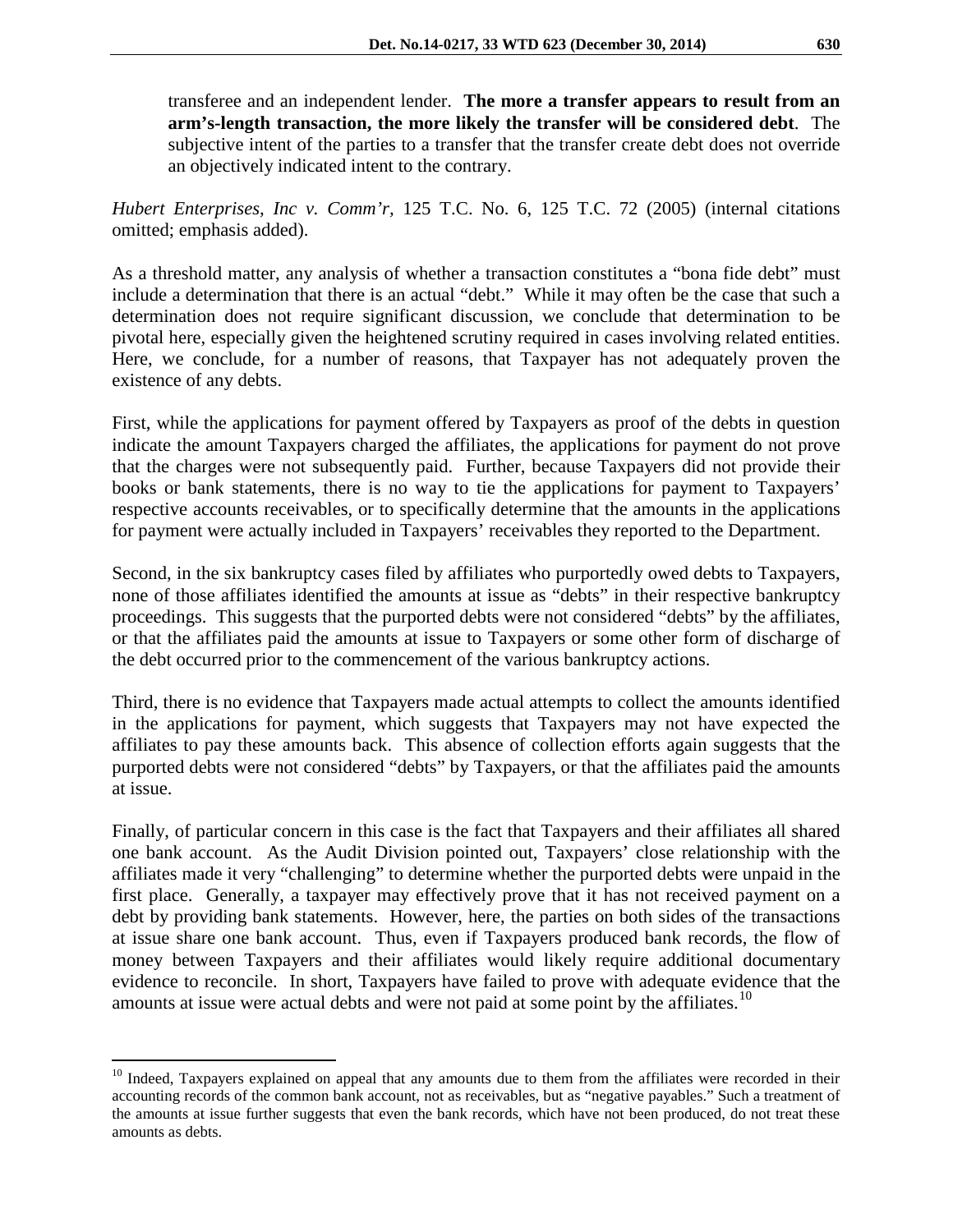transferee and an independent lender. **The more a transfer appears to result from an arm's-length transaction, the more likely the transfer will be considered debt**. The subjective intent of the parties to a transfer that the transfer create debt does not override an objectively indicated intent to the contrary.

*Hubert Enterprises, Inc v. Comm'r,* 125 T.C. No. 6, 125 T.C. 72 (2005) (internal citations omitted; emphasis added).

As a threshold matter, any analysis of whether a transaction constitutes a "bona fide debt" must include a determination that there is an actual "debt." While it may often be the case that such a determination does not require significant discussion, we conclude that determination to be pivotal here, especially given the heightened scrutiny required in cases involving related entities. Here, we conclude, for a number of reasons, that Taxpayer has not adequately proven the existence of any debts.

First, while the applications for payment offered by Taxpayers as proof of the debts in question indicate the amount Taxpayers charged the affiliates, the applications for payment do not prove that the charges were not subsequently paid. Further, because Taxpayers did not provide their books or bank statements, there is no way to tie the applications for payment to Taxpayers' respective accounts receivables, or to specifically determine that the amounts in the applications for payment were actually included in Taxpayers' receivables they reported to the Department.

Second, in the six bankruptcy cases filed by affiliates who purportedly owed debts to Taxpayers, none of those affiliates identified the amounts at issue as "debts" in their respective bankruptcy proceedings. This suggests that the purported debts were not considered "debts" by the affiliates, or that the affiliates paid the amounts at issue to Taxpayers or some other form of discharge of the debt occurred prior to the commencement of the various bankruptcy actions.

Third, there is no evidence that Taxpayers made actual attempts to collect the amounts identified in the applications for payment, which suggests that Taxpayers may not have expected the affiliates to pay these amounts back. This absence of collection efforts again suggests that the purported debts were not considered "debts" by Taxpayers, or that the affiliates paid the amounts at issue.

Finally, of particular concern in this case is the fact that Taxpayers and their affiliates all shared one bank account. As the Audit Division pointed out, Taxpayers' close relationship with the affiliates made it very "challenging" to determine whether the purported debts were unpaid in the first place. Generally, a taxpayer may effectively prove that it has not received payment on a debt by providing bank statements. However, here, the parties on both sides of the transactions at issue share one bank account. Thus, even if Taxpayers produced bank records, the flow of money between Taxpayers and their affiliates would likely require additional documentary evidence to reconcile. In short, Taxpayers have failed to prove with adequate evidence that the amounts at issue were actual debts and were not paid at some point by the affiliates.<sup>[10](#page-7-0)</sup>

 $\overline{a}$ 

<span id="page-7-0"></span><sup>&</sup>lt;sup>10</sup> Indeed, Taxpayers explained on appeal that any amounts due to them from the affiliates were recorded in their accounting records of the common bank account, not as receivables, but as "negative payables." Such a treatment of the amounts at issue further suggests that even the bank records, which have not been produced, do not treat these amounts as debts.